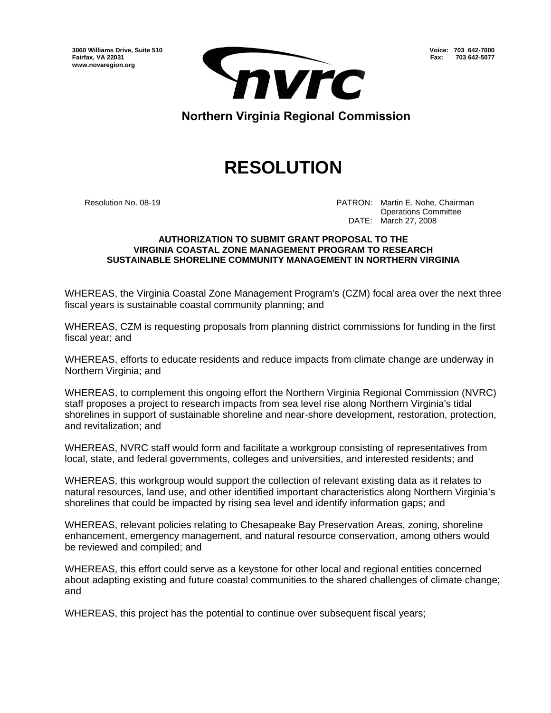**3060 Williams Drive, Suite 510 Fairfax, VA 22031 www.novaregion.org** 



**Voice: 703 642-7000 Fax: 703 642-5077**

Northern Virginia Regional Commission

## **RESOLUTION**

 Resolution No. 08-19 PATRON: Martin E. Nohe, Chairman Operations Committee DATE: March 27, 2008

## **AUTHORIZATION TO SUBMIT GRANT PROPOSAL TO THE VIRGINIA COASTAL ZONE MANAGEMENT PROGRAM TO RESEARCH SUSTAINABLE SHORELINE COMMUNITY MANAGEMENT IN NORTHERN VIRGINIA**

WHEREAS, the Virginia Coastal Zone Management Program's (CZM) focal area over the next three fiscal years is sustainable coastal community planning; and

WHEREAS, CZM is requesting proposals from planning district commissions for funding in the first fiscal year; and

WHEREAS, efforts to educate residents and reduce impacts from climate change are underway in Northern Virginia; and

WHEREAS, to complement this ongoing effort the Northern Virginia Regional Commission (NVRC) staff proposes a project to research impacts from sea level rise along Northern Virginia's tidal shorelines in support of sustainable shoreline and near-shore development, restoration, protection, and revitalization; and

WHEREAS, NVRC staff would form and facilitate a workgroup consisting of representatives from local, state, and federal governments, colleges and universities, and interested residents; and

WHEREAS, this workgroup would support the collection of relevant existing data as it relates to natural resources, land use, and other identified important characteristics along Northern Virginia's shorelines that could be impacted by rising sea level and identify information gaps; and

WHEREAS, relevant policies relating to Chesapeake Bay Preservation Areas, zoning, shoreline enhancement, emergency management, and natural resource conservation, among others would be reviewed and compiled; and

WHEREAS, this effort could serve as a keystone for other local and regional entities concerned about adapting existing and future coastal communities to the shared challenges of climate change; and

WHEREAS, this project has the potential to continue over subsequent fiscal years;